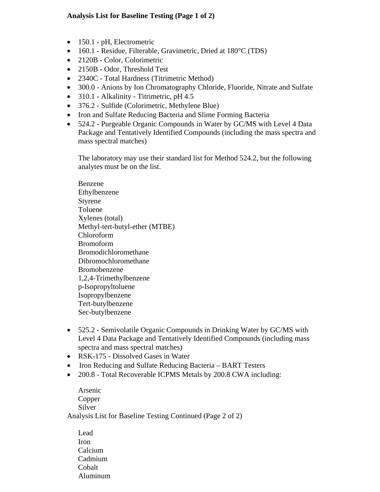## **Analysis List for Baseline Testing (Page 1 of 2)**

- 150.1 pH, Electrometric
- 160.1 Residue, Filterable, Gravimetric, Dried at 180°C (TDS)
- 2120B Color, Colorimetric
- 2150B Odor, Threshold Test
- 2340C Total Hardness (Titrimetric Method)
- 300.0 Anions by Ion Chromatography Chloride, Fluoride, Nitrate and Sulfate
- $310.1$  Alkalinity Titrimetric, pH 4.5
- 376.2 Sulfide (Colorimetric, Methylene Blue)
- Iron and Sulfate Reducing Bacteria and Slime Forming Bacteria
- 524.2 Purgeable Organic Compounds in Water by GC/MS with Level 4 Data Package and Tentatively Identified Compounds (including the mass spectra and mass spectral matches)

The laboratory may use their standard list for Method 524.2, but the following analytes must be on the list.

Benzene Ethylbenzene Styrene Toluene Xylenes (total) Methyl-tert-butyl-ether (MTBE) Chloroform Bromoform Bromodichloromethane Dibromochloromethane Bromobenzene 1,2,4-Trimethylbenzene p-Isopropyltoluene Isopropylbenzene Tert-butylbenzene Sec-butylbenzene

- 525.2 Semivolatile Organic Compounds in Drinking Water by GC/MS with Level 4 Data Package and Tentatively Identified Compounds (including mass spectra and mass spectral matches)
- RSK-175 Dissolved Gases in Water
- Iron Reducing and Sulfate Reducing Bacteria BART Testers
- 200.8 Total Recoverable ICPMS Metals by 200.8 CWA including:

Arsenic Copper Silver Analysis List for Baseline Testing Continued (Page 2 of 2)

Lead Iron Calcium Cadmium Cobalt Aluminum